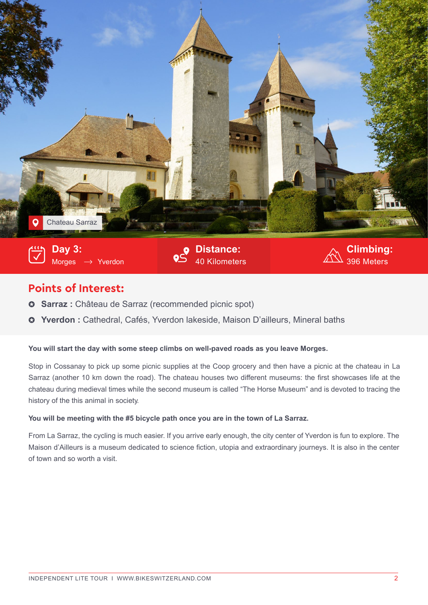

## **Points of Interest:**

- **Sarraz :** Château de Sarraz (recommended picnic spot)
- **Yverdon :** Cathedral, Cafés, Yverdon lakeside, Maison D'ailleurs, Mineral baths

## **You will start the day with some steep climbs on well-paved roads as you leave Morges.**

Stop in Cossanay to pick up some picnic supplies at the Coop grocery and then have a picnic at the chateau in La Sarraz (another 10 km down the road). The chateau houses two different museums: the first showcases life at the chateau during medieval times while the second museum is called "The Horse Museum" and is devoted to tracing the history of the this animal in society.

## **You will be meeting with the #5 bicycle path once you are in the town of La Sarraz.**

From La Sarraz, the cycling is much easier. If you arrive early enough, the city center of Yverdon is fun to explore. The Maison d'Ailleurs is a museum dedicated to science fiction, utopia and extraordinary journeys. It is also in the center of town and so worth a visit.